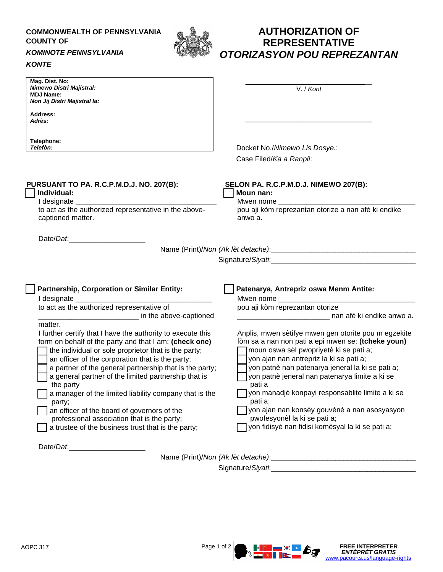## **COMMONWEALTH OF PENNSYLVANIA COUNTY OF**

**KOMINOTE PENNSYLVANIA** 

**KONTE** 



## **AUTHORIZATION OF REPRESENTATIVE OTORIZASYON POU REPREZANTAN**

| Mag. Dist. No:<br>Nimewo Distri Majistral:<br><b>MDJ Name:</b><br>Non Jij Distri Majistral la:<br>Address:                            | V. / Kont                                                                                                                                                                                                                                                                          |
|---------------------------------------------------------------------------------------------------------------------------------------|------------------------------------------------------------------------------------------------------------------------------------------------------------------------------------------------------------------------------------------------------------------------------------|
| Adrès:                                                                                                                                |                                                                                                                                                                                                                                                                                    |
| Telephone:<br>Telefòn:                                                                                                                | Docket No./Nimewo Lis Dosye.:<br>Case Filed/Ka a Ranpli:                                                                                                                                                                                                                           |
| PURSUANT TO PA. R.C.P.M.D.J. NO. 207(B):<br>Individual:<br>to act as the authorized representative in the above-<br>captioned matter. | SELON PA. R.C.P.M.D.J. NIMEWO 207(B):<br>Moun nan:<br>Mwen nome<br>pou aji kòm reprezantan otorize a nan afè ki endike<br>anwo a.                                                                                                                                                  |
| Date/Dat:                                                                                                                             |                                                                                                                                                                                                                                                                                    |
|                                                                                                                                       |                                                                                                                                                                                                                                                                                    |
|                                                                                                                                       |                                                                                                                                                                                                                                                                                    |
|                                                                                                                                       |                                                                                                                                                                                                                                                                                    |
|                                                                                                                                       |                                                                                                                                                                                                                                                                                    |
| Partnership, Corporation or Similar Entity:<br>I designate ___________                                                                | Patenarya, Antrepriz oswa Menm Antite:<br>Mwen nome __________________                                                                                                                                                                                                             |
| to act as the authorized representative of                                                                                            | pou aji kòm reprezantan otorize                                                                                                                                                                                                                                                    |
| in the above-captioned                                                                                                                | nan afè ki endike anwo a.                                                                                                                                                                                                                                                          |
| matter.                                                                                                                               |                                                                                                                                                                                                                                                                                    |
| I further certify that I have the authority to execute this                                                                           | Anplis, mwen sètifye mwen gen otorite pou m egzekite                                                                                                                                                                                                                               |
| form on behalf of the party and that I am: (check one)                                                                                | fòm sa a nan non pati a epi mwen se: (tcheke youn)                                                                                                                                                                                                                                 |
| the individual or sole proprietor that is the party;                                                                                  | moun oswa sèl pwopriyetè ki se pati a;                                                                                                                                                                                                                                             |
| an officer of the corporation that is the party;                                                                                      | yon ajan nan antrepriz la ki se pati a;                                                                                                                                                                                                                                            |
| a partner of the general partnership that is the party;                                                                               | yon patnè nan patenarya jeneral la ki se pati a;                                                                                                                                                                                                                                   |
| a general partner of the limited partnership that is<br>the party                                                                     | yon patnè jeneral nan patenarya limite a ki se<br>pati a                                                                                                                                                                                                                           |
| a manager of the limited liability company that is the<br>party;                                                                      | yon manadjè konpayi responsablite limite a ki se<br>pati a; and a set of the set of the set of the set of the set of the set of the set of the set of the set of the set of the set of the set of the set of the set of the set of the set of the set of the set of the set of the |
| an officer of the board of governors of the                                                                                           | yon ajan nan konsèy gouvènè a nan asosyasyon                                                                                                                                                                                                                                       |
| professional association that is the party;                                                                                           | pwofesyonèl la ki se pati a;                                                                                                                                                                                                                                                       |
| a trustee of the business trust that is the party;                                                                                    | yon fidisyè nan fidisi komèsyal la ki se pati a;                                                                                                                                                                                                                                   |
| Date/Dat:                                                                                                                             |                                                                                                                                                                                                                                                                                    |

Name (Print)/Non (Ak lèt detache):

Signature/Siyati:

**Inisi** 

69